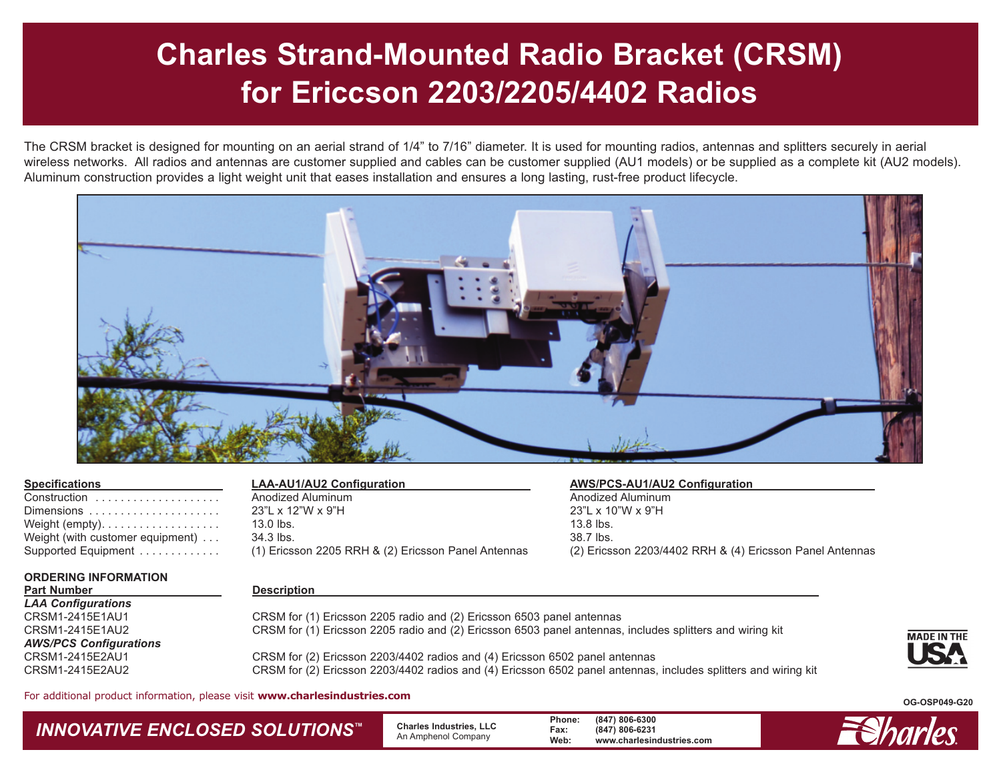# **Charles Strand-Mounted Radio Bracket (CRSM) for Ericcson 2203/2205/4402 Radios**

The CRSM bracket is designed for mounting on an aerial strand of 1/4" to 7/16" diameter. It is used for mounting radios, antennas and splitters securely in aerial wireless networks. All radios and antennas are customer supplied and cables can be customer supplied (AU1 models) or be supplied as a complete kit (AU2 models). Aluminum construction provides a light weight unit that eases installation and ensures a long lasting, rust-free product lifecycle.



| Construction                     |
|----------------------------------|
| Dimensions                       |
| Weight (empty).                  |
| Weight (with customer equipment) |
| Supported Equipment              |

Construction . . . . . . . . . . . . . . . . . . . . Anodized Aluminum Anodized Aluminum 23"L x 12"W x 9"H 23"L x 10"W x 9"H Weight (empty). . . . . . . . . . . . . . . . . . . 13.0 lbs. 13.8 lbs. Weight (with customer equipment) . . . 34.3 lbs. 38.7 lbs.

### **Specifications LAA-AU1/AU2 Configuration AWS/PCS-AU1/AU2 Configuration**

Supported Equipment . . . . . . . . . . . . . (1) Ericsson 2205 RRH & (2) Ericsson Panel Antennas (2) Ericsson 2203/4402 RRH & (4) Ericsson Panel Antennas

### **ORDERING INFORMATION**

**Part Number Description** 

*LAA Configurations AWS/PCS Configurations*

CRSM for (1) Ericsson 2205 radio and (2) Ericsson 6503 panel antennas CRSM1-2415E1AU2 CRSM for (1) Ericsson 2205 radio and (2) Ericsson 6503 panel antennas, includes splitters and wiring kit

CRSM1-2415E2AU1 CRSM for (2) Ericsson 2203/4402 radios and (4) Ericsson 6502 panel antennas CRSM1-2415E2AU2 CRSM for (2) Ericsson 2203/4402 radios and (4) Ericsson 6502 panel antennas, includes splitters and wiring kit



For additional product information, please visit **www.charlesindustries.com** 

*INNOVATIVE ENCLOSED SOLUTIONS™* **Charles Industries, LLC** An Amphenol Company **Phone: (847) 806-6300 Fax: (847) 806-6231 Web: www.charlesindustries.com**